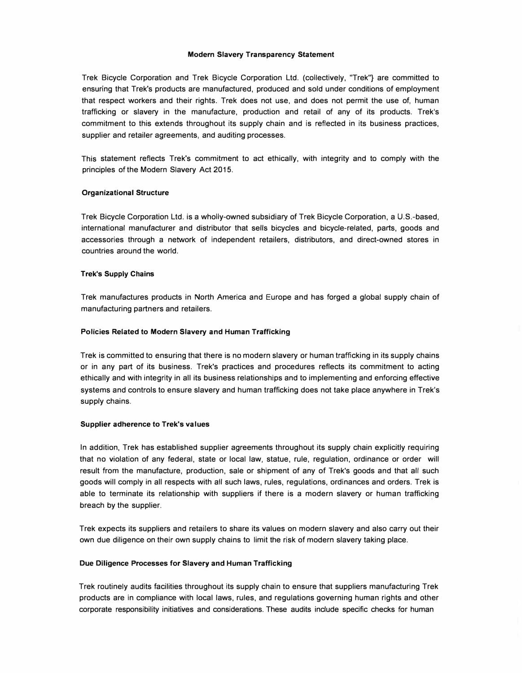# **Modern Slavery Transparency Statement**

Trek Bicycle Corporation and Trek Bicycle Corporation Ltd. (collectively, "Trek"} are committed to ensuring that Trek's products are manufactured, produced and sold under conditions of employment that respect workers and their rights. Trek does not use, and does not permit the use of, human trafficking or slavery in the manufacture, production and retail of any of its products. Trek's commitment to this extends throughout its supply chain and is reflected in its business practices, supplier and retailer agreements, and auditing processes.

This statement reflects Trek's commitment to act ethically, with integrity and to comply with the principles of the Modern Slavery Act 2015.

# **Organizational Structure**

Trek Bicycle Corporation Ltd. is a wholly-owned subsidiary of Trek Bicycle Corporation, a U.S.-based, international manufacturer and distributor that sells bicycles and bicycle-related, parts, goods and accessories through a network of independent retailers, distributors, and direct-owned stores in countries around the world.

# **Trek's Supply Chains**

Trek manufactures products in North America and Europe and has forged a global supply chain of manufacturing partners and retailers.

# **Policies Related to Modern Slavery and Human Trafficking**

Trek is committed to ensuring that there is no modern slavery or human trafficking in its supply chains or in any part of its business. Trek's practices and procedures reflects its commitment to acting ethically and with integrity in all its business relationships and to implementing and enforcing effective systems and controls to ensure slavery and human trafficking does not take place anywhere in Trek's supply chains.

## **Supplier adherence to Trek's values**

In addition, Trek has established supplier agreements throughout its supply chain explicitly requiring that no violation of any federal, state or local law, statue, rule, regulation, ordinance or order will result from the manufacture, production, sale or shipment of any of Trek's goods and that all such goods will comply in all respects with all such laws, rules, regulations, ordinances and orders. Trek is able to terminate its relationship with suppliers if there is a modern slavery or human trafficking breach by the supplier.

Trek expects its suppliers and retailers to share its values on modern slavery and also carry out their own due diligence on their own supply chains to limit the risk of modern slavery taking place.

## **Due Diligence Processes for Slavery and Human Trafficking**

Trek routinely audits facilities throughout its supply chain to ensure that suppliers manufacturing Trek products are in compliance with local laws, rules, and regulations governing human rights and other corporate responsibility initiatives and considerations. These audits include specific checks for human